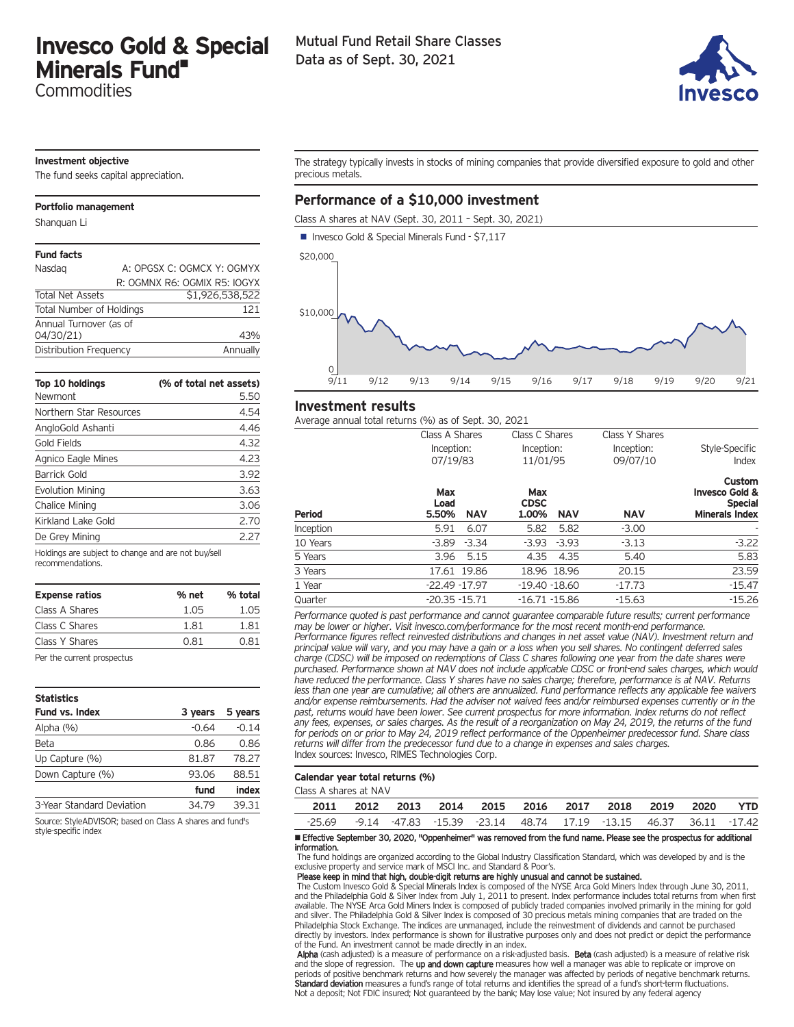# **Invesco Gold & Special Minerals Fund•**

**Commodities** 

# Mutual Fund Retail Share Classes Data as of Sept. 30, 2021



# **Investment objective**

The fund seeks capital appreciation.

# **Portfolio management**

Shanquan Li

# **Fund facts**

| Nasdag                          | A: OPGSX C: OGMCX Y: OGMYX   |
|---------------------------------|------------------------------|
|                                 | R: OGMNX R6: OGMIX R5: IOGYX |
| <b>Total Net Assets</b>         | \$1,926,538,522              |
| <b>Total Number of Holdings</b> | 121                          |
| Annual Turnover (as of          |                              |
| 04/30/21)                       | 43%                          |
| Distribution Frequency          | Annually                     |

| Top 10 holdings<br>Newmont                          | (% of total net assets)<br>5.50 |
|-----------------------------------------------------|---------------------------------|
| Northern Star Resources                             | 4.54                            |
| AngloGold Ashanti                                   | 4.46                            |
| Gold Fields                                         | 4.32                            |
| Agnico Eagle Mines                                  | 4.23                            |
| <b>Barrick Gold</b>                                 | 3.92                            |
| <b>Evolution Mining</b>                             | 3.63                            |
| Chalice Mining                                      | 3.06                            |
| Kirkland Lake Gold                                  | 2.70                            |
| De Grey Mining                                      | 2.27                            |
| Holdings are subject to change and are not buy/sell |                                 |

| recommendations. |  |
|------------------|--|
|------------------|--|

| <b>Expense ratios</b> | % net | % total |
|-----------------------|-------|---------|
| Class A Shares        | 1.05  | 1.05    |
| Class C Shares        | 1.81  | 1.81    |
| Class Y Shares        | 0.81  | 0.81    |

Per the current prospectus

| <b>Statistics</b>         |         |         |
|---------------------------|---------|---------|
| <b>Fund vs. Index</b>     | 3 years | 5 years |
| Alpha $(%)$               | $-0.64$ | $-0.14$ |
| Beta                      | 0.86    | 0.86    |
| Up Capture (%)            | 81.87   | 78.27   |
| Down Capture (%)          | 93.06   | 88.51   |
|                           | fund    | index   |
| 3-Year Standard Deviation | 34.79   | 39.31   |

Source: StyleADVISOR; based on Class A shares and fund's style-specific index

The strategy typically invests in stocks of mining companies that provide diversified exposure to gold and other precious metals.

# **Performance of a \$10,000 investment**

Class A shares at NAV (Sept. 30, 2011 – Sept. 30, 2021)



# **Investment results**

Average annual total returns (%) as of Sept. 30, 2021

|               | AVCTugC difficult total retains (70) as or Sept. So, EOE1<br>Class A Shares | Class C Shares                            | Class Y Shares         |                                                                                |
|---------------|-----------------------------------------------------------------------------|-------------------------------------------|------------------------|--------------------------------------------------------------------------------|
|               | Inception:<br>07/19/83                                                      | Inception:<br>11/01/95                    | Inception:<br>09/07/10 | Style-Specific<br>Index                                                        |
| <b>Period</b> | Max<br>Load<br><b>NAV</b><br>5.50%                                          | Max<br><b>CDSC</b><br><b>NAV</b><br>1.00% | <b>NAV</b>             | Custom<br><b>Invesco Gold &amp;</b><br><b>Special</b><br><b>Minerals Index</b> |
| Inception     | 5.91<br>6.07                                                                | 5.82<br>5.82                              | $-3.00$                |                                                                                |
| 10 Years      | $-3.34$<br>$-3.89$                                                          | $-3.93$<br>$-3.93$                        | $-3.13$                | $-3.22$                                                                        |
| 5 Years       | 5.15<br>3.96                                                                | 4.35<br>4.35                              | 5.40                   | 5.83                                                                           |
| 3 Years       | 17.61 19.86                                                                 | 18.96 18.96                               | 20.15                  | 23.59                                                                          |
| 1 Year        | $-22.49 - 17.97$                                                            | $-19.40 - 18.60$                          | $-17.73$               | $-15.47$                                                                       |
| Quarter       | $-20.35 - 15.71$                                                            | $-16.71 - 15.86$                          | $-15.63$               | $-15.26$                                                                       |

*Performance quoted is past performance and cannot guarantee comparable future results; current performance may be lower or higher. Visit invesco.com/performance for the most recent month-end performance. Performance figures reflect reinvested distributions and changes in net asset value (NAV). Investment return and principal value will vary, and you may have a gain or a loss when you sell shares. No contingent deferred sales charge (CDSC) will be imposed on redemptions of Class C shares following one year from the date shares were purchased. Performance shown at NAV does not include applicable CDSC or front-end sales charges, which would have reduced the performance. Class Y shares have no sales charge; therefore, performance is at NAV. Returns less than one year are cumulative; all others are annualized. Fund performance reflects any applicable fee waivers and/or expense reimbursements. Had the adviser not waived fees and/or reimbursed expenses currently or in the past, returns would have been lower. See current prospectus for more information. Index returns do not reflect any fees, expenses, or sales charges. As the result of a reorganization on May 24, 2019, the returns of the fund for periods on or prior to May 24, 2019 reflect performance of the Oppenheimer predecessor fund. Share class returns will differ from the predecessor fund due to a change in expenses and sales charges.* Index sources: Invesco, RIMES Technologies Corp.

# **Calendar year total returns (%)**

| Class A shares at NAV |      |  |  |                                                                  |  |     |
|-----------------------|------|--|--|------------------------------------------------------------------|--|-----|
| 2011                  | 2012 |  |  | 2013 2014 2015 2016 2017 2018 2019 2020                          |  | YTD |
| $-25.69$              |      |  |  | -9.14 -47.83 -15.39 -23.14 48.74 17.19 -13.15 46.37 36.11 -17.42 |  |     |

• Effective September 30, 2020, "Oppenheimer" was removed from the fund name. Please see the prospectus for additional information.

The fund holdings are organized according to the Global Industry Classification Standard, which was developed by and is the exclusive property and service mark of MSCI Inc. and Standard & Poor's.

### Please keep in mind that high, double-digit returns are highly unusual and cannot be sustained.

The Custom Invesco Gold & Special Minerals Index is composed of the NYSE Arca Gold Miners Index through June 30, 2011, and the Philadelphia Gold & Silver Index from July 1, 2011 to present. Index performance includes total returns from when first available. The NYSE Arca Gold Miners Index is composed of publicly traded companies involved primarily in the mining for gold and silver. The Philadelphia Gold & Silver Index is composed of 30 precious metals mining companies that are traded on the Philadelphia Stock Exchange. The indices are unmanaged, include the reinvestment of dividends and cannot be purchased directly by investors. Index performance is shown for illustrative purposes only and does not predict or depict the performance of the Fund. An investment cannot be made directly in an index.

Alpha (cash adjusted) is a measure of performance on a risk-adjusted basis. Beta (cash adjusted) is a measure of relative risk and the slope of regression. The up and down capture measures how well a manager was able to replicate or improve on periods of positive benchmark returns and how severely the manager was affected by periods of negative benchmark returns. Standard deviation measures a fund's range of total returns and identifies the spread of a fund's short-term fluctuations. Not a deposit; Not FDIC insured; Not guaranteed by the bank; May lose value; Not insured by any federal agency